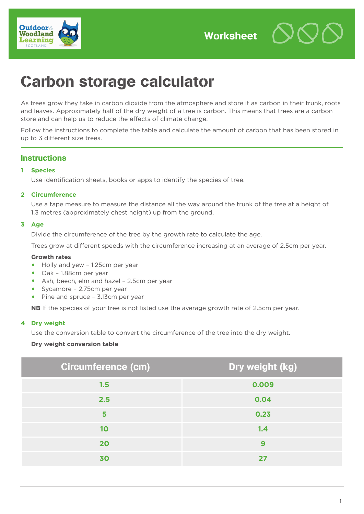

# Carbon storage calculator

As trees grow they take in carbon dioxide from the atmosphere and store it as carbon in their trunk, roots and leaves. Approximately half of the dry weight of a tree is carbon. This means that trees are a carbon store and can help us to reduce the effects of climate change.

Follow the instructions to complete the table and calculate the amount of carbon that has been stored in up to 3 different size trees.

# **Instructions**

# **1 Species**

Use identification sheets, books or apps to identify the species of tree.

# **2 Circumference**

Use a tape measure to measure the distance all the way around the trunk of the tree at a height of 1.3 metres (approximately chest height) up from the ground.

# **3 Age**

Divide the circumference of the tree by the growth rate to calculate the age.

Trees grow at different speeds with the circumference increasing at an average of 2.5cm per year.

#### **Growth rates**

- **•** Holly and yew 1.25cm per year
- **•** Oak 1.88cm per year
- **•** Ash, beech, elm and hazel 2.5cm per year
- **•** Sycamore 2.75cm per year
- **•** Pine and spruce 3.13cm per year

**NB** If the species of your tree is not listed use the average growth rate of 2.5cm per year.

#### **4 Dry weight**

Use the conversion table to convert the circumference of the tree into the dry weight.

#### **Dry weight conversion table**

| <b>Circumference (cm)</b> | Dry weight (kg) |  |
|---------------------------|-----------------|--|
| 1.5                       | 0.009           |  |
| 2.5                       | 0.04            |  |
| 5                         | 0.23            |  |
| 10                        | 1.4             |  |
| 20                        | 9               |  |
| 30                        | 27              |  |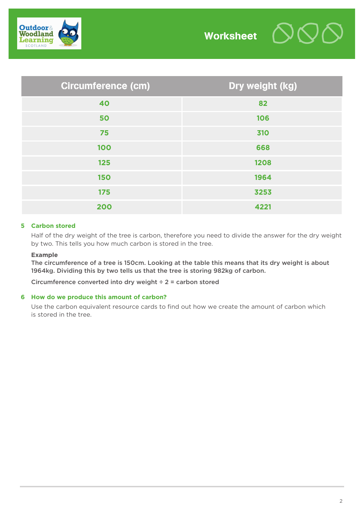

| <b>Circumference (cm)</b> | Dry weight (kg) |  |
|---------------------------|-----------------|--|
| 40                        | 82              |  |
| 50                        | 106             |  |
| 75                        | 310             |  |
| 100                       | 668             |  |
| 125                       | 1208            |  |
| <b>150</b>                | 1964            |  |
| 175                       | 3253            |  |
| 200                       | 4221            |  |

# **5 Carbon stored**

Half of the dry weight of the tree is carbon, therefore you need to divide the answer for the dry weight by two. This tells you how much carbon is stored in the tree.

#### **Example**

The circumference of a tree is 150cm. Looking at the table this means that its dry weight is about 1964kg. Dividing this by two tells us that the tree is storing 982kg of carbon.

Circumference converted into dry weight ÷ 2 = carbon stored

#### **6 How do we produce this amount of carbon?**

Use the carbon equivalent resource cards to find out how we create the amount of carbon which is stored in the tree.